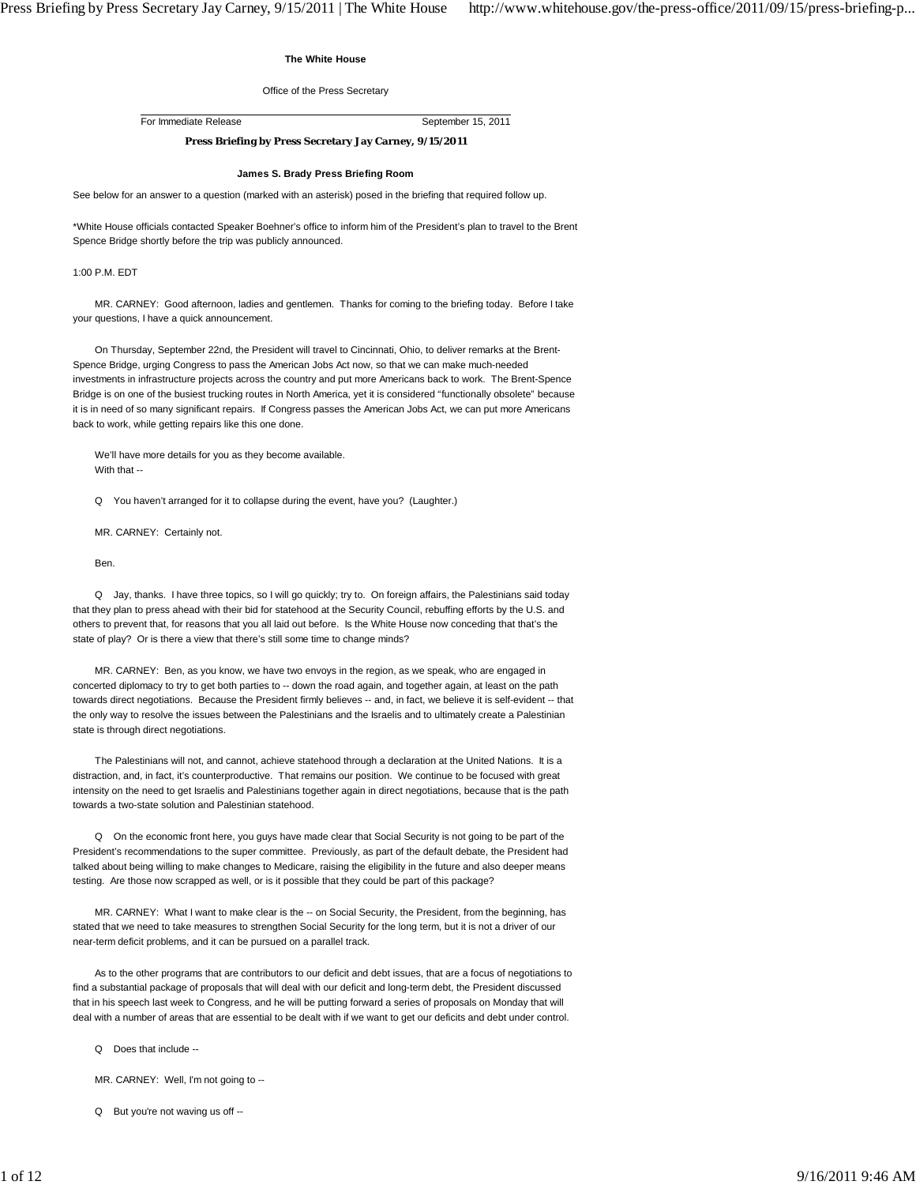# **The White House**

## Office of the Press Secretary

For Immediate Release September 15, 2011

# **Press Briefing by Press Secretary Jay Carney, 9/15/2011**

# **James S. Brady Press Briefing Room**

See below for an answer to a question (marked with an asterisk) posed in the briefing that required follow up.

\*White House officials contacted Speaker Boehner's office to inform him of the President's plan to travel to the Brent Spence Bridge shortly before the trip was publicly announced.

#### 1:00 P.M. EDT

 MR. CARNEY: Good afternoon, ladies and gentlemen. Thanks for coming to the briefing today. Before I take your questions, I have a quick announcement.

 On Thursday, September 22nd, the President will travel to Cincinnati, Ohio, to deliver remarks at the Brent-Spence Bridge, urging Congress to pass the American Jobs Act now, so that we can make much-needed investments in infrastructure projects across the country and put more Americans back to work. The Brent-Spence Bridge is on one of the busiest trucking routes in North America, yet it is considered "functionally obsolete" because it is in need of so many significant repairs. If Congress passes the American Jobs Act, we can put more Americans back to work, while getting repairs like this one done.

 We'll have more details for you as they become available. With that --

Q You haven't arranged for it to collapse during the event, have you? (Laughter.)

MR. CARNEY: Certainly not.

Ben.

 Q Jay, thanks. I have three topics, so I will go quickly; try to. On foreign affairs, the Palestinians said today that they plan to press ahead with their bid for statehood at the Security Council, rebuffing efforts by the U.S. and others to prevent that, for reasons that you all laid out before. Is the White House now conceding that that's the state of play? Or is there a view that there's still some time to change minds?

 MR. CARNEY: Ben, as you know, we have two envoys in the region, as we speak, who are engaged in concerted diplomacy to try to get both parties to -- down the road again, and together again, at least on the path towards direct negotiations. Because the President firmly believes -- and, in fact, we believe it is self-evident -- that the only way to resolve the issues between the Palestinians and the Israelis and to ultimately create a Palestinian state is through direct negotiations.

 The Palestinians will not, and cannot, achieve statehood through a declaration at the United Nations. It is a distraction, and, in fact, it's counterproductive. That remains our position. We continue to be focused with great intensity on the need to get Israelis and Palestinians together again in direct negotiations, because that is the path towards a two-state solution and Palestinian statehood.

Q On the economic front here, you guys have made clear that Social Security is not going to be part of the President's recommendations to the super committee. Previously, as part of the default debate, the President had talked about being willing to make changes to Medicare, raising the eligibility in the future and also deeper means testing. Are those now scrapped as well, or is it possible that they could be part of this package?

MR. CARNEY: What I want to make clear is the -- on Social Security, the President, from the beginning, has stated that we need to take measures to strengthen Social Security for the long term, but it is not a driver of our near-term deficit problems, and it can be pursued on a parallel track.

 As to the other programs that are contributors to our deficit and debt issues, that are a focus of negotiations to find a substantial package of proposals that will deal with our deficit and long-term debt, the President discussed that in his speech last week to Congress, and he will be putting forward a series of proposals on Monday that will deal with a number of areas that are essential to be dealt with if we want to get our deficits and debt under control.

- Q Does that include --
- MR. CARNEY: Well, I'm not going to --
- Q But you're not waving us off --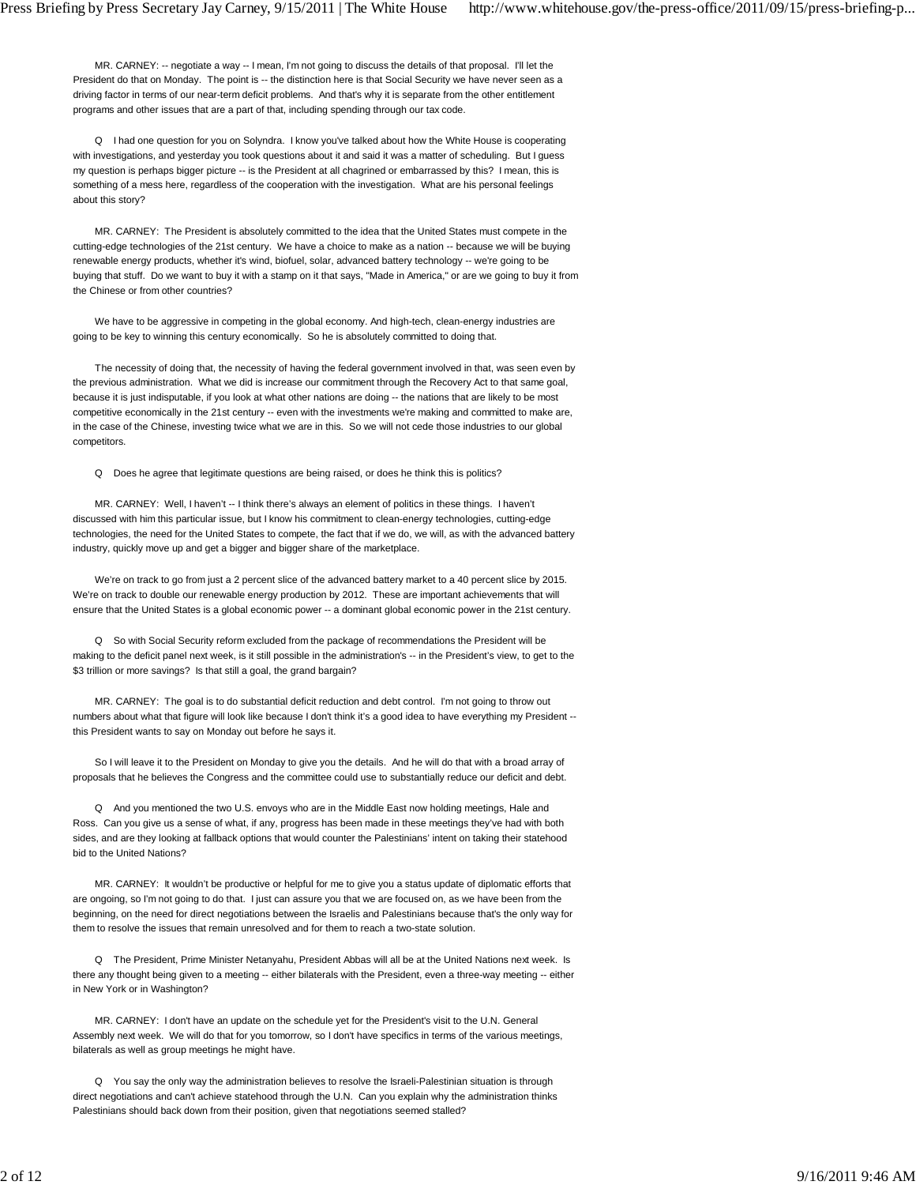MR. CARNEY: -- negotiate a way -- I mean, I'm not going to discuss the details of that proposal. I'll let the President do that on Monday. The point is -- the distinction here is that Social Security we have never seen as a driving factor in terms of our near-term deficit problems. And that's why it is separate from the other entitlement programs and other issues that are a part of that, including spending through our tax code.

 Q I had one question for you on Solyndra. I know you've talked about how the White House is cooperating with investigations, and yesterday you took questions about it and said it was a matter of scheduling. But I guess my question is perhaps bigger picture -- is the President at all chagrined or embarrassed by this? I mean, this is something of a mess here, regardless of the cooperation with the investigation. What are his personal feelings about this story?

 MR. CARNEY: The President is absolutely committed to the idea that the United States must compete in the cutting-edge technologies of the 21st century. We have a choice to make as a nation -- because we will be buying renewable energy products, whether it's wind, biofuel, solar, advanced battery technology -- we're going to be buying that stuff. Do we want to buy it with a stamp on it that says, "Made in America," or are we going to buy it from the Chinese or from other countries?

 We have to be aggressive in competing in the global economy. And high-tech, clean-energy industries are going to be key to winning this century economically. So he is absolutely committed to doing that.

 The necessity of doing that, the necessity of having the federal government involved in that, was seen even by the previous administration. What we did is increase our commitment through the Recovery Act to that same goal, because it is just indisputable, if you look at what other nations are doing -- the nations that are likely to be most competitive economically in the 21st century -- even with the investments we're making and committed to make are, in the case of the Chinese, investing twice what we are in this. So we will not cede those industries to our global competitors.

Q Does he agree that legitimate questions are being raised, or does he think this is politics?

MR. CARNEY: Well, I haven't -- I think there's always an element of politics in these things. I haven't discussed with him this particular issue, but I know his commitment to clean-energy technologies, cutting-edge technologies, the need for the United States to compete, the fact that if we do, we will, as with the advanced battery industry, quickly move up and get a bigger and bigger share of the marketplace.

We're on track to go from just a 2 percent slice of the advanced battery market to a 40 percent slice by 2015. We're on track to double our renewable energy production by 2012. These are important achievements that will ensure that the United States is a global economic power -- a dominant global economic power in the 21st century.

 Q So with Social Security reform excluded from the package of recommendations the President will be making to the deficit panel next week, is it still possible in the administration's -- in the President's view, to get to the \$3 trillion or more savings? Is that still a goal, the grand bargain?

 MR. CARNEY: The goal is to do substantial deficit reduction and debt control. I'm not going to throw out numbers about what that figure will look like because I don't think it's a good idea to have everything my President - this President wants to say on Monday out before he says it.

 So I will leave it to the President on Monday to give you the details. And he will do that with a broad array of proposals that he believes the Congress and the committee could use to substantially reduce our deficit and debt.

 Q And you mentioned the two U.S. envoys who are in the Middle East now holding meetings, Hale and Ross. Can you give us a sense of what, if any, progress has been made in these meetings they've had with both sides, and are they looking at fallback options that would counter the Palestinians' intent on taking their statehood bid to the United Nations?

 MR. CARNEY: It wouldn't be productive or helpful for me to give you a status update of diplomatic efforts that are ongoing, so I'm not going to do that. I just can assure you that we are focused on, as we have been from the beginning, on the need for direct negotiations between the Israelis and Palestinians because that's the only way for them to resolve the issues that remain unresolved and for them to reach a two-state solution.

 Q The President, Prime Minister Netanyahu, President Abbas will all be at the United Nations next week. Is there any thought being given to a meeting -- either bilaterals with the President, even a three-way meeting -- either in New York or in Washington?

 MR. CARNEY: I don't have an update on the schedule yet for the President's visit to the U.N. General Assembly next week. We will do that for you tomorrow, so I don't have specifics in terms of the various meetings, bilaterals as well as group meetings he might have.

 Q You say the only way the administration believes to resolve the Israeli-Palestinian situation is through direct negotiations and can't achieve statehood through the U.N. Can you explain why the administration thinks Palestinians should back down from their position, given that negotiations seemed stalled?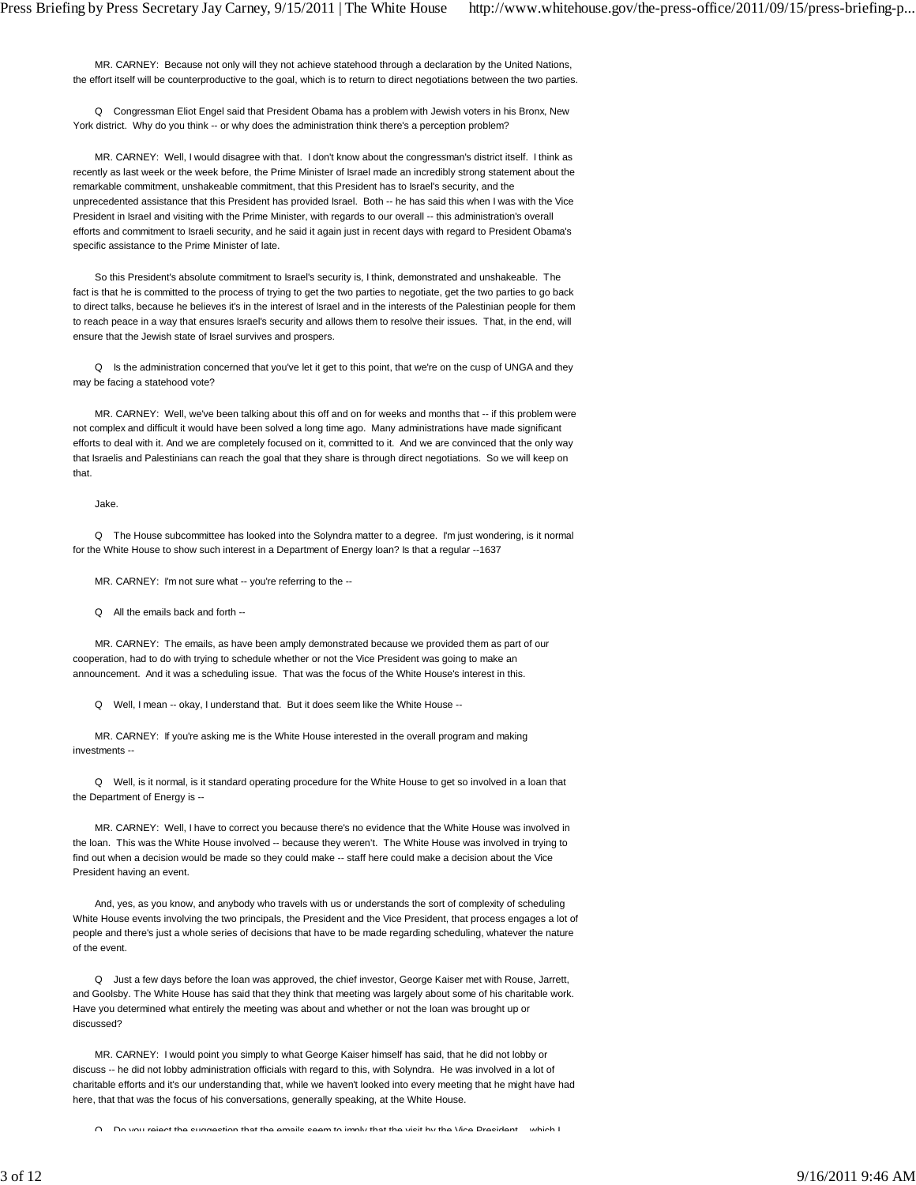MR. CARNEY: Because not only will they not achieve statehood through a declaration by the United Nations, the effort itself will be counterproductive to the goal, which is to return to direct negotiations between the two parties.

 Q Congressman Eliot Engel said that President Obama has a problem with Jewish voters in his Bronx, New York district. Why do you think -- or why does the administration think there's a perception problem?

 MR. CARNEY: Well, I would disagree with that. I don't know about the congressman's district itself. I think as recently as last week or the week before, the Prime Minister of Israel made an incredibly strong statement about the remarkable commitment, unshakeable commitment, that this President has to Israel's security, and the unprecedented assistance that this President has provided Israel. Both -- he has said this when I was with the Vice President in Israel and visiting with the Prime Minister, with regards to our overall -- this administration's overall efforts and commitment to Israeli security, and he said it again just in recent days with regard to President Obama's specific assistance to the Prime Minister of late.

 So this President's absolute commitment to Israel's security is, I think, demonstrated and unshakeable. The fact is that he is committed to the process of trying to get the two parties to negotiate, get the two parties to go back to direct talks, because he believes it's in the interest of Israel and in the interests of the Palestinian people for them to reach peace in a way that ensures Israel's security and allows them to resolve their issues. That, in the end, will ensure that the Jewish state of Israel survives and prospers.

Q Is the administration concerned that you've let it get to this point, that we're on the cusp of UNGA and they may be facing a statehood vote?

 MR. CARNEY: Well, we've been talking about this off and on for weeks and months that -- if this problem were not complex and difficult it would have been solved a long time ago. Many administrations have made significant efforts to deal with it. And we are completely focused on it, committed to it. And we are convinced that the only way that Israelis and Palestinians can reach the goal that they share is through direct negotiations. So we will keep on that.

Jake.

 Q The House subcommittee has looked into the Solyndra matter to a degree. I'm just wondering, is it normal for the White House to show such interest in a Department of Energy loan? Is that a regular --1637

MR. CARNEY: I'm not sure what -- you're referring to the --

Q All the emails back and forth --

 MR. CARNEY: The emails, as have been amply demonstrated because we provided them as part of our cooperation, had to do with trying to schedule whether or not the Vice President was going to make an announcement. And it was a scheduling issue. That was the focus of the White House's interest in this.

Q Well, I mean -- okay, I understand that. But it does seem like the White House --

 MR. CARNEY: If you're asking me is the White House interested in the overall program and making investments --

 Q Well, is it normal, is it standard operating procedure for the White House to get so involved in a loan that the Department of Energy is --

 MR. CARNEY: Well, I have to correct you because there's no evidence that the White House was involved in the loan. This was the White House involved -- because they weren't. The White House was involved in trying to find out when a decision would be made so they could make -- staff here could make a decision about the Vice President having an event.

 And, yes, as you know, and anybody who travels with us or understands the sort of complexity of scheduling White House events involving the two principals, the President and the Vice President, that process engages a lot of people and there's just a whole series of decisions that have to be made regarding scheduling, whatever the nature of the event.

 Q Just a few days before the loan was approved, the chief investor, George Kaiser met with Rouse, Jarrett, and Goolsby. The White House has said that they think that meeting was largely about some of his charitable work. Have you determined what entirely the meeting was about and whether or not the loan was brought up or discussed?

 MR. CARNEY: I would point you simply to what George Kaiser himself has said, that he did not lobby or discuss -- he did not lobby administration officials with regard to this, with Solyndra. He was involved in a lot of charitable efforts and it's our understanding that, while we haven't looked into every meeting that he might have had here, that that was the focus of his conversations, generally speaking, at the White House.

Do you reject the suggestion that the emails seem to imply that the visit by the Vice President which I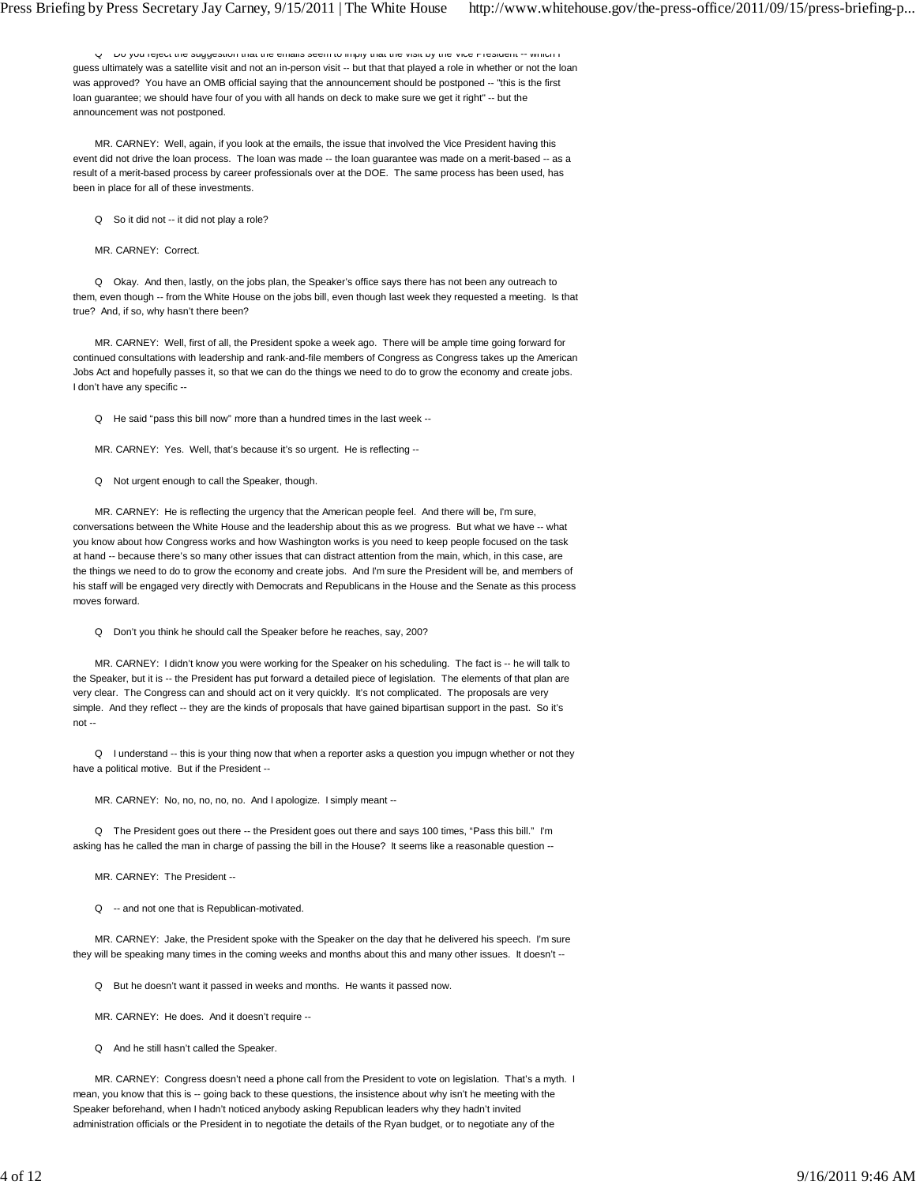Q Do you reject the suggestion that the emails seem to imply that the visit by the Vice President -- which I guess ultimately was a satellite visit and not an in-person visit -- but that that played a role in whether or not the loan was approved? You have an OMB official saying that the announcement should be postponed -- "this is the first loan guarantee; we should have four of you with all hands on deck to make sure we get it right" -- but the announcement was not postponed.

 MR. CARNEY: Well, again, if you look at the emails, the issue that involved the Vice President having this event did not drive the loan process. The loan was made -- the loan guarantee was made on a merit-based -- as a result of a merit-based process by career professionals over at the DOE. The same process has been used, has been in place for all of these investments.

Q So it did not -- it did not play a role?

MR. CARNEY: Correct.

 Q Okay. And then, lastly, on the jobs plan, the Speaker's office says there has not been any outreach to them, even though -- from the White House on the jobs bill, even though last week they requested a meeting. Is that true? And, if so, why hasn't there been?

 MR. CARNEY: Well, first of all, the President spoke a week ago. There will be ample time going forward for continued consultations with leadership and rank-and-file members of Congress as Congress takes up the American Jobs Act and hopefully passes it, so that we can do the things we need to do to grow the economy and create jobs. I don't have any specific --

Q He said "pass this bill now" more than a hundred times in the last week --

MR. CARNEY: Yes. Well, that's because it's so urgent. He is reflecting --

Q Not urgent enough to call the Speaker, though.

 MR. CARNEY: He is reflecting the urgency that the American people feel. And there will be, I'm sure, conversations between the White House and the leadership about this as we progress. But what we have -- what you know about how Congress works and how Washington works is you need to keep people focused on the task at hand -- because there's so many other issues that can distract attention from the main, which, in this case, are the things we need to do to grow the economy and create jobs. And I'm sure the President will be, and members of his staff will be engaged very directly with Democrats and Republicans in the House and the Senate as this process moves forward.

Q Don't you think he should call the Speaker before he reaches, say, 200?

 MR. CARNEY: I didn't know you were working for the Speaker on his scheduling. The fact is -- he will talk to the Speaker, but it is -- the President has put forward a detailed piece of legislation. The elements of that plan are very clear. The Congress can and should act on it very quickly. It's not complicated. The proposals are very simple. And they reflect -- they are the kinds of proposals that have gained bipartisan support in the past. So it's not --

 Q I understand -- this is your thing now that when a reporter asks a question you impugn whether or not they have a political motive. But if the President --

MR. CARNEY: No, no, no, no, no. And I apologize. I simply meant --

 Q The President goes out there -- the President goes out there and says 100 times, "Pass this bill." I'm asking has he called the man in charge of passing the bill in the House? It seems like a reasonable question --

MR. CARNEY: The President --

Q -- and not one that is Republican-motivated.

 MR. CARNEY: Jake, the President spoke with the Speaker on the day that he delivered his speech. I'm sure they will be speaking many times in the coming weeks and months about this and many other issues. It doesn't --

Q But he doesn't want it passed in weeks and months. He wants it passed now.

MR. CARNEY: He does. And it doesn't require --

Q And he still hasn't called the Speaker.

 MR. CARNEY: Congress doesn't need a phone call from the President to vote on legislation. That's a myth. I mean, you know that this is -- going back to these questions, the insistence about why isn't he meeting with the Speaker beforehand, when I hadn't noticed anybody asking Republican leaders why they hadn't invited administration officials or the President in to negotiate the details of the Ryan budget, or to negotiate any of the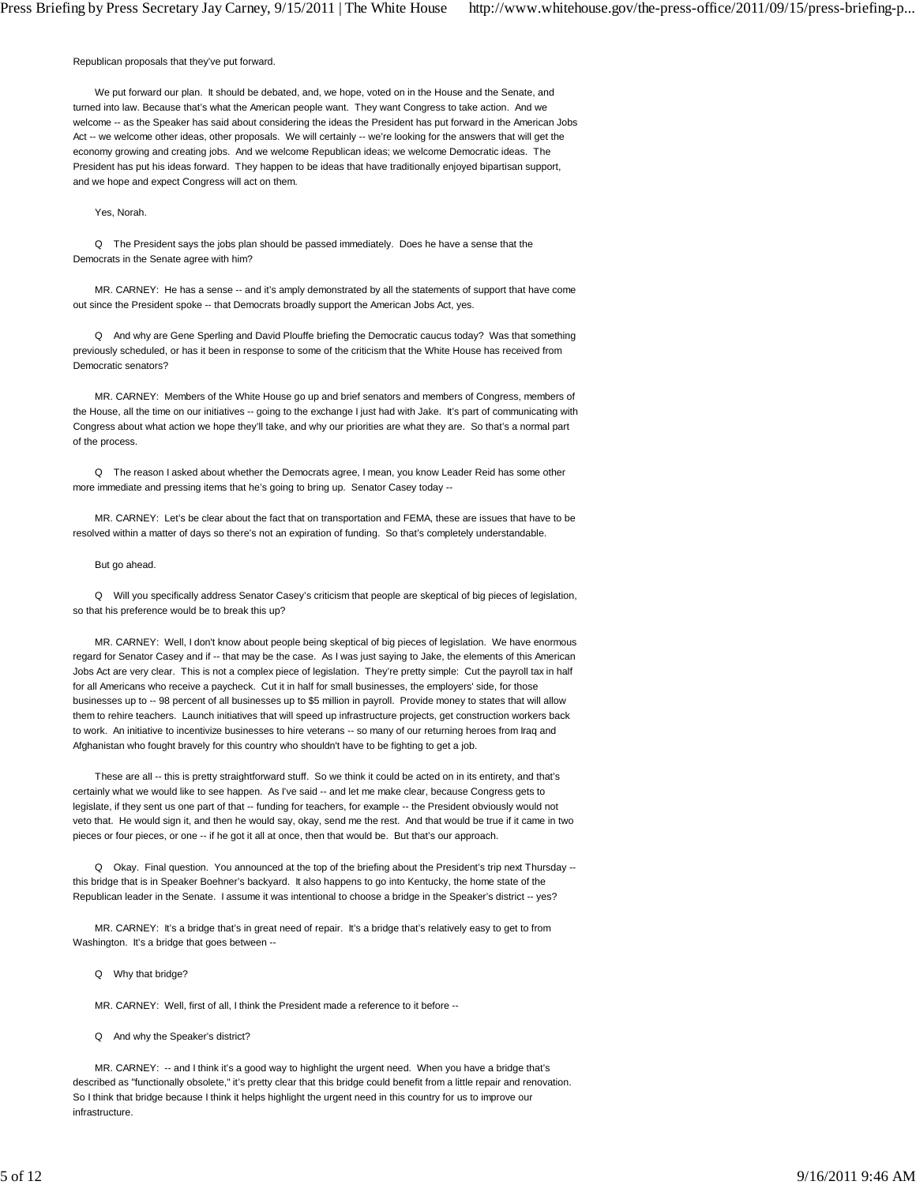Republican proposals that they've put forward.

 We put forward our plan. It should be debated, and, we hope, voted on in the House and the Senate, and turned into law. Because that's what the American people want. They want Congress to take action. And we welcome -- as the Speaker has said about considering the ideas the President has put forward in the American Jobs Act -- we welcome other ideas, other proposals. We will certainly -- we're looking for the answers that will get the economy growing and creating jobs. And we welcome Republican ideas; we welcome Democratic ideas. The President has put his ideas forward. They happen to be ideas that have traditionally enjoyed bipartisan support, and we hope and expect Congress will act on them.

Yes, Norah.

 Q The President says the jobs plan should be passed immediately. Does he have a sense that the Democrats in the Senate agree with him?

 MR. CARNEY: He has a sense -- and it's amply demonstrated by all the statements of support that have come out since the President spoke -- that Democrats broadly support the American Jobs Act, yes.

 Q And why are Gene Sperling and David Plouffe briefing the Democratic caucus today? Was that something previously scheduled, or has it been in response to some of the criticism that the White House has received from Democratic senators?

 MR. CARNEY: Members of the White House go up and brief senators and members of Congress, members of the House, all the time on our initiatives -- going to the exchange I just had with Jake. It's part of communicating with Congress about what action we hope they'll take, and why our priorities are what they are. So that's a normal part of the process.

 Q The reason I asked about whether the Democrats agree, I mean, you know Leader Reid has some other more immediate and pressing items that he's going to bring up. Senator Casey today --

 MR. CARNEY: Let's be clear about the fact that on transportation and FEMA, these are issues that have to be resolved within a matter of days so there's not an expiration of funding. So that's completely understandable.

#### But go ahead.

 Q Will you specifically address Senator Casey's criticism that people are skeptical of big pieces of legislation, so that his preference would be to break this up?

 MR. CARNEY: Well, I don't know about people being skeptical of big pieces of legislation. We have enormous regard for Senator Casey and if -- that may be the case. As I was just saying to Jake, the elements of this American Jobs Act are very clear. This is not a complex piece of legislation. They're pretty simple: Cut the payroll tax in half for all Americans who receive a paycheck. Cut it in half for small businesses, the employers' side, for those businesses up to -- 98 percent of all businesses up to \$5 million in payroll. Provide money to states that will allow them to rehire teachers. Launch initiatives that will speed up infrastructure projects, get construction workers back to work. An initiative to incentivize businesses to hire veterans -- so many of our returning heroes from Iraq and Afghanistan who fought bravely for this country who shouldn't have to be fighting to get a job.

 These are all -- this is pretty straightforward stuff. So we think it could be acted on in its entirety, and that's certainly what we would like to see happen. As I've said -- and let me make clear, because Congress gets to legislate, if they sent us one part of that -- funding for teachers, for example -- the President obviously would not veto that. He would sign it, and then he would say, okay, send me the rest. And that would be true if it came in two pieces or four pieces, or one -- if he got it all at once, then that would be. But that's our approach.

 Q Okay. Final question. You announced at the top of the briefing about the President's trip next Thursday - this bridge that is in Speaker Boehner's backyard. It also happens to go into Kentucky, the home state of the Republican leader in the Senate. I assume it was intentional to choose a bridge in the Speaker's district -- yes?

 MR. CARNEY: It's a bridge that's in great need of repair. It's a bridge that's relatively easy to get to from Washington. It's a bridge that goes between --

Q Why that bridge?

MR. CARNEY: Well, first of all, I think the President made a reference to it before --

Q And why the Speaker's district?

MR. CARNEY: -- and I think it's a good way to highlight the urgent need. When you have a bridge that's described as "functionally obsolete," it's pretty clear that this bridge could benefit from a little repair and renovation. So I think that bridge because I think it helps highlight the urgent need in this country for us to improve our infrastructure.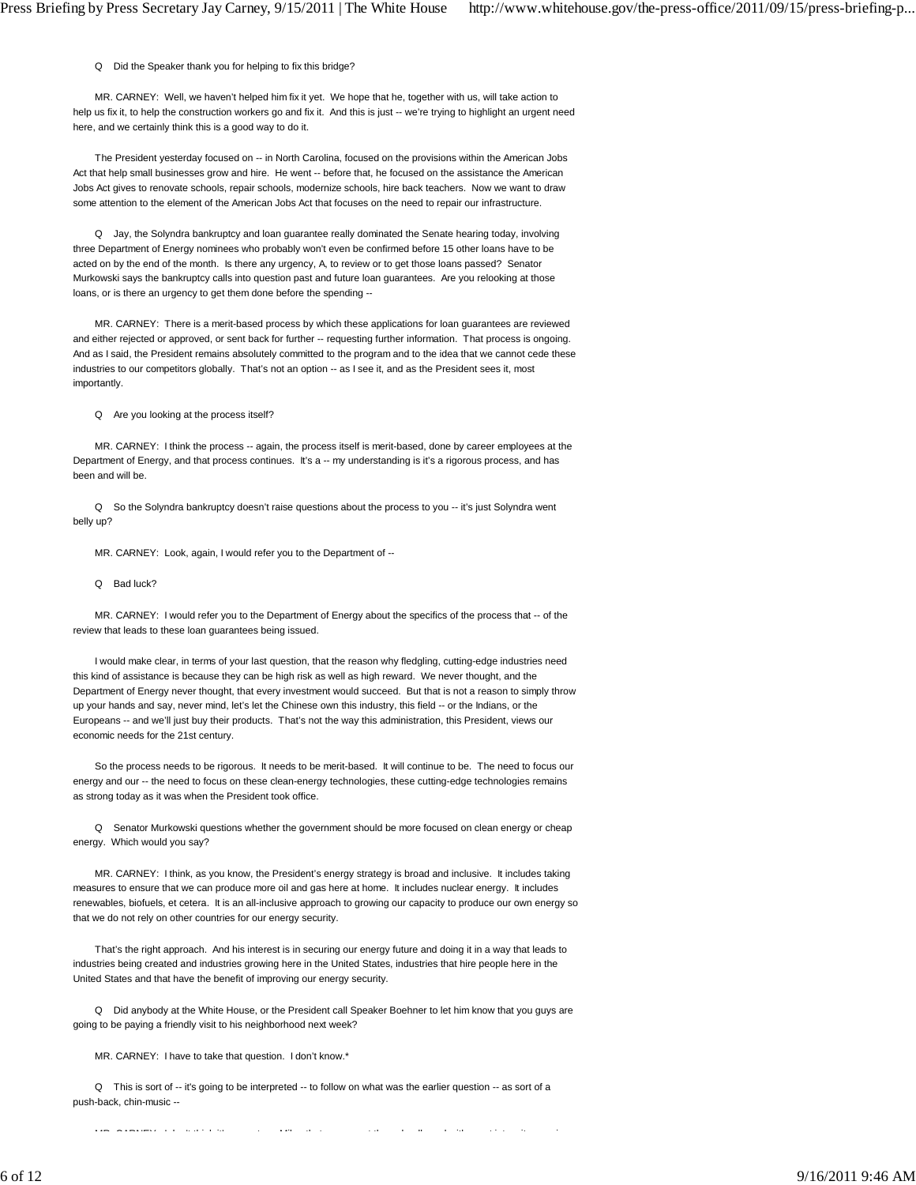Q Did the Speaker thank you for helping to fix this bridge?

 MR. CARNEY: Well, we haven't helped him fix it yet. We hope that he, together with us, will take action to help us fix it, to help the construction workers go and fix it. And this is just -- we're trying to highlight an urgent need here, and we certainly think this is a good way to do it.

 The President yesterday focused on -- in North Carolina, focused on the provisions within the American Jobs Act that help small businesses grow and hire. He went -- before that, he focused on the assistance the American Jobs Act gives to renovate schools, repair schools, modernize schools, hire back teachers. Now we want to draw some attention to the element of the American Jobs Act that focuses on the need to repair our infrastructure.

 Q Jay, the Solyndra bankruptcy and loan guarantee really dominated the Senate hearing today, involving three Department of Energy nominees who probably won't even be confirmed before 15 other loans have to be acted on by the end of the month. Is there any urgency, A, to review or to get those loans passed? Senator Murkowski says the bankruptcy calls into question past and future loan guarantees. Are you relooking at those loans, or is there an urgency to get them done before the spending --

 MR. CARNEY: There is a merit-based process by which these applications for loan guarantees are reviewed and either rejected or approved, or sent back for further -- requesting further information. That process is ongoing. And as I said, the President remains absolutely committed to the program and to the idea that we cannot cede these industries to our competitors globally. That's not an option -- as I see it, and as the President sees it, most importantly.

Q Are you looking at the process itself?

 MR. CARNEY: I think the process -- again, the process itself is merit-based, done by career employees at the Department of Energy, and that process continues. It's a -- my understanding is it's a rigorous process, and has been and will be.

 Q So the Solyndra bankruptcy doesn't raise questions about the process to you -- it's just Solyndra went belly up?

MR. CARNEY: Look, again, I would refer you to the Department of --

Q Bad luck?

 MR. CARNEY: I would refer you to the Department of Energy about the specifics of the process that -- of the review that leads to these loan guarantees being issued.

 I would make clear, in terms of your last question, that the reason why fledgling, cutting-edge industries need this kind of assistance is because they can be high risk as well as high reward. We never thought, and the Department of Energy never thought, that every investment would succeed. But that is not a reason to simply throw up your hands and say, never mind, let's let the Chinese own this industry, this field -- or the Indians, or the Europeans -- and we'll just buy their products. That's not the way this administration, this President, views our economic needs for the 21st century.

 So the process needs to be rigorous. It needs to be merit-based. It will continue to be. The need to focus our energy and our -- the need to focus on these clean-energy technologies, these cutting-edge technologies remains as strong today as it was when the President took office.

 Q Senator Murkowski questions whether the government should be more focused on clean energy or cheap energy. Which would you say?

 MR. CARNEY: I think, as you know, the President's energy strategy is broad and inclusive. It includes taking measures to ensure that we can produce more oil and gas here at home. It includes nuclear energy. It includes renewables, biofuels, et cetera. It is an all-inclusive approach to growing our capacity to produce our own energy so that we do not rely on other countries for our energy security.

 That's the right approach. And his interest is in securing our energy future and doing it in a way that leads to industries being created and industries growing here in the United States, industries that hire people here in the United States and that have the benefit of improving our energy security.

 Q Did anybody at the White House, or the President call Speaker Boehner to let him know that you guys are going to be paying a friendly visit to his neighborhood next week?

MR. CARNEY: I have to take that question. I don't know.\*

 Q This is sort of -- it's going to be interpreted -- to follow on what was the earlier question -- as sort of a push-back, chin-music --

MR CARNEY I d'it this teach that the third that the third the third the third that the third the third the thi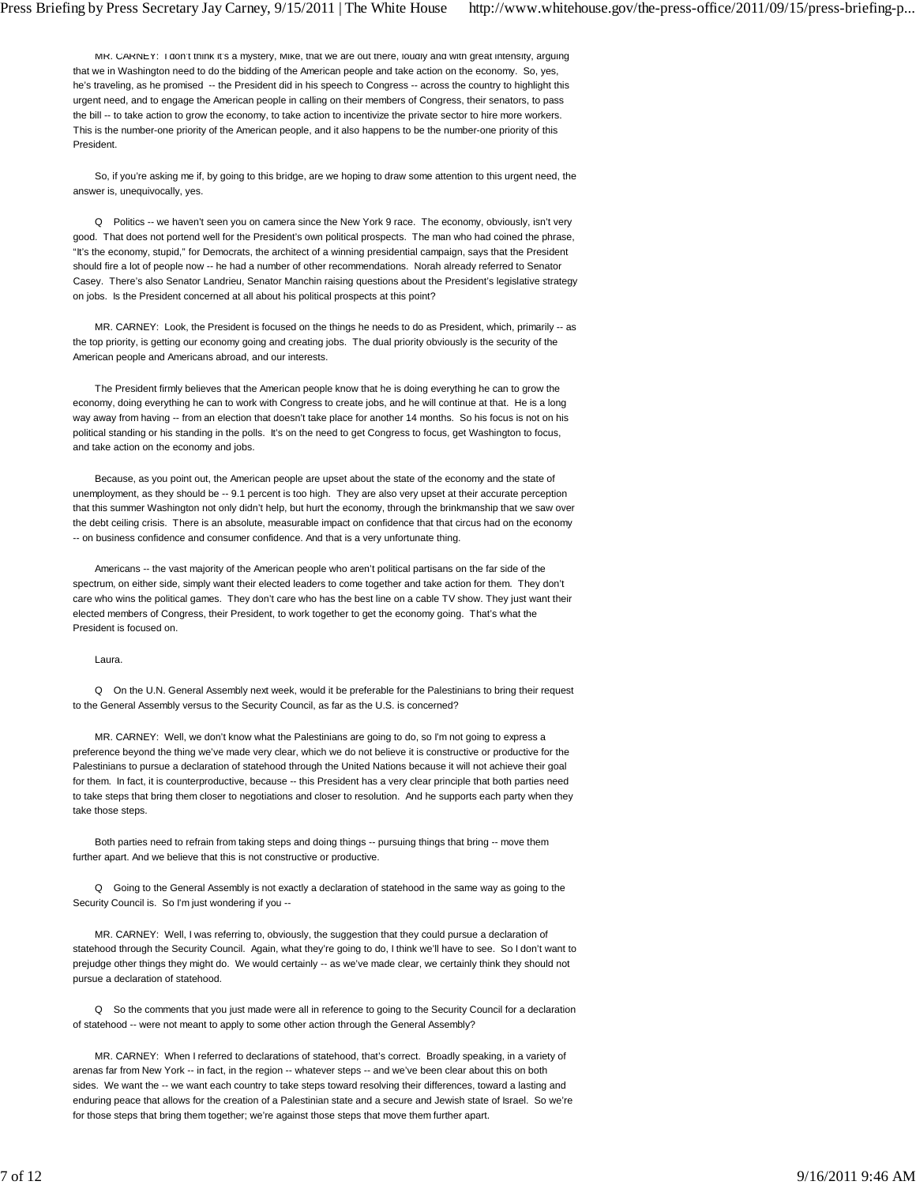MR. CARNEY: I don't think it's a mystery, Mike, that we are out there, loudly and with great intensity, arguing that we in Washington need to do the bidding of the American people and take action on the economy. So, yes, he's traveling, as he promised -- the President did in his speech to Congress -- across the country to highlight this urgent need, and to engage the American people in calling on their members of Congress, their senators, to pass the bill -- to take action to grow the economy, to take action to incentivize the private sector to hire more workers. This is the number-one priority of the American people, and it also happens to be the number-one priority of this President.

 So, if you're asking me if, by going to this bridge, are we hoping to draw some attention to this urgent need, the answer is, unequivocally, yes.

 Q Politics -- we haven't seen you on camera since the New York 9 race. The economy, obviously, isn't very good. That does not portend well for the President's own political prospects. The man who had coined the phrase, "It's the economy, stupid," for Democrats, the architect of a winning presidential campaign, says that the President should fire a lot of people now -- he had a number of other recommendations. Norah already referred to Senator Casey. There's also Senator Landrieu, Senator Manchin raising questions about the President's legislative strategy on jobs. Is the President concerned at all about his political prospects at this point?

 MR. CARNEY: Look, the President is focused on the things he needs to do as President, which, primarily -- as the top priority, is getting our economy going and creating jobs. The dual priority obviously is the security of the American people and Americans abroad, and our interests.

 The President firmly believes that the American people know that he is doing everything he can to grow the economy, doing everything he can to work with Congress to create jobs, and he will continue at that. He is a long way away from having -- from an election that doesn't take place for another 14 months. So his focus is not on his political standing or his standing in the polls. It's on the need to get Congress to focus, get Washington to focus, and take action on the economy and jobs.

 Because, as you point out, the American people are upset about the state of the economy and the state of unemployment, as they should be -- 9.1 percent is too high. They are also very upset at their accurate perception that this summer Washington not only didn't help, but hurt the economy, through the brinkmanship that we saw over the debt ceiling crisis. There is an absolute, measurable impact on confidence that that circus had on the economy -- on business confidence and consumer confidence. And that is a very unfortunate thing.

 Americans -- the vast majority of the American people who aren't political partisans on the far side of the spectrum, on either side, simply want their elected leaders to come together and take action for them. They don't care who wins the political games. They don't care who has the best line on a cable TV show. They just want their elected members of Congress, their President, to work together to get the economy going. That's what the President is focused on.

# Laura.

 Q On the U.N. General Assembly next week, would it be preferable for the Palestinians to bring their request to the General Assembly versus to the Security Council, as far as the U.S. is concerned?

 MR. CARNEY: Well, we don't know what the Palestinians are going to do, so I'm not going to express a preference beyond the thing we've made very clear, which we do not believe it is constructive or productive for the Palestinians to pursue a declaration of statehood through the United Nations because it will not achieve their goal for them. In fact, it is counterproductive, because -- this President has a very clear principle that both parties need to take steps that bring them closer to negotiations and closer to resolution. And he supports each party when they take those steps.

 Both parties need to refrain from taking steps and doing things -- pursuing things that bring -- move them further apart. And we believe that this is not constructive or productive.

 Q Going to the General Assembly is not exactly a declaration of statehood in the same way as going to the Security Council is. So I'm just wondering if you --

 MR. CARNEY: Well, I was referring to, obviously, the suggestion that they could pursue a declaration of statehood through the Security Council. Again, what they're going to do, I think we'll have to see. So I don't want to prejudge other things they might do. We would certainly -- as we've made clear, we certainly think they should not pursue a declaration of statehood.

 Q So the comments that you just made were all in reference to going to the Security Council for a declaration of statehood -- were not meant to apply to some other action through the General Assembly?

 MR. CARNEY: When I referred to declarations of statehood, that's correct. Broadly speaking, in a variety of arenas far from New York -- in fact, in the region -- whatever steps -- and we've been clear about this on both sides. We want the -- we want each country to take steps toward resolving their differences, toward a lasting and enduring peace that allows for the creation of a Palestinian state and a secure and Jewish state of Israel. So we're for those steps that bring them together; we're against those steps that move them further apart.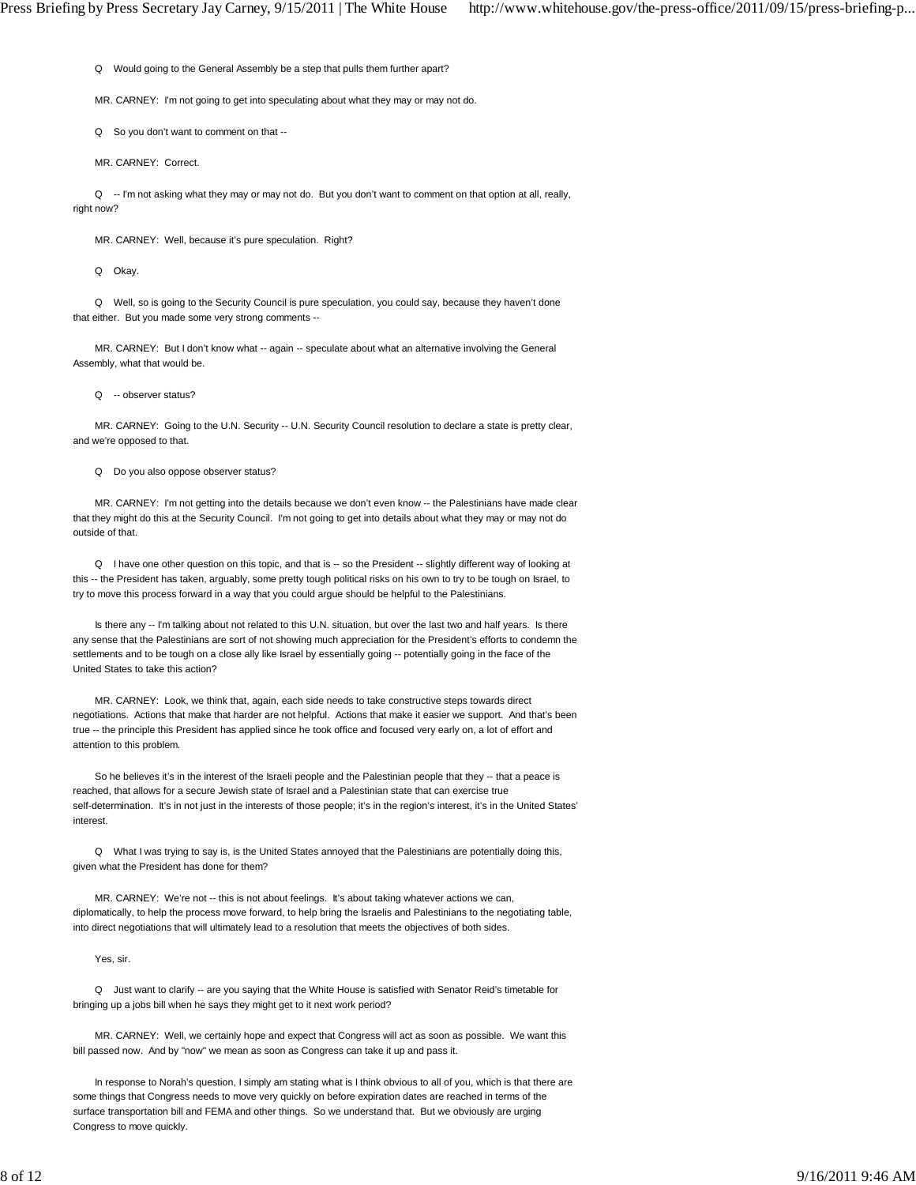Q Would going to the General Assembly be a step that pulls them further apart?

MR. CARNEY: I'm not going to get into speculating about what they may or may not do.

Q So you don't want to comment on that --

MR. CARNEY: Correct.

Q -- I'm not asking what they may or may not do. But you don't want to comment on that option at all, really, right now?

MR. CARNEY: Well, because it's pure speculation. Right?

Q Okay.

 Q Well, so is going to the Security Council is pure speculation, you could say, because they haven't done that either. But you made some very strong comments --

 MR. CARNEY: But I don't know what -- again -- speculate about what an alternative involving the General Assembly, what that would be.

Q -- observer status?

 MR. CARNEY: Going to the U.N. Security -- U.N. Security Council resolution to declare a state is pretty clear, and we're opposed to that.

Q Do you also oppose observer status?

 MR. CARNEY: I'm not getting into the details because we don't even know -- the Palestinians have made clear that they might do this at the Security Council. I'm not going to get into details about what they may or may not do outside of that.

 Q I have one other question on this topic, and that is -- so the President -- slightly different way of looking at this -- the President has taken, arguably, some pretty tough political risks on his own to try to be tough on Israel, to try to move this process forward in a way that you could argue should be helpful to the Palestinians.

 Is there any -- I'm talking about not related to this U.N. situation, but over the last two and half years. Is there any sense that the Palestinians are sort of not showing much appreciation for the President's efforts to condemn the settlements and to be tough on a close ally like Israel by essentially going -- potentially going in the face of the United States to take this action?

 MR. CARNEY: Look, we think that, again, each side needs to take constructive steps towards direct negotiations. Actions that make that harder are not helpful. Actions that make it easier we support. And that's been true -- the principle this President has applied since he took office and focused very early on, a lot of effort and attention to this problem.

So he believes it's in the interest of the Israeli people and the Palestinian people that they -- that a peace is reached, that allows for a secure Jewish state of Israel and a Palestinian state that can exercise true self-determination. It's in not just in the interests of those people; it's in the region's interest, it's in the United States' interest.

 Q What I was trying to say is, is the United States annoyed that the Palestinians are potentially doing this, given what the President has done for them?

MR. CARNEY: We're not -- this is not about feelings. It's about taking whatever actions we can, diplomatically, to help the process move forward, to help bring the Israelis and Palestinians to the negotiating table, into direct negotiations that will ultimately lead to a resolution that meets the objectives of both sides.

Yes, sir.

 Q Just want to clarify -- are you saying that the White House is satisfied with Senator Reid's timetable for bringing up a jobs bill when he says they might get to it next work period?

 MR. CARNEY: Well, we certainly hope and expect that Congress will act as soon as possible. We want this bill passed now. And by "now" we mean as soon as Congress can take it up and pass it.

In response to Norah's question, I simply am stating what is I think obvious to all of you, which is that there are some things that Congress needs to move very quickly on before expiration dates are reached in terms of the surface transportation bill and FEMA and other things. So we understand that. But we obviously are urging Congress to move quickly.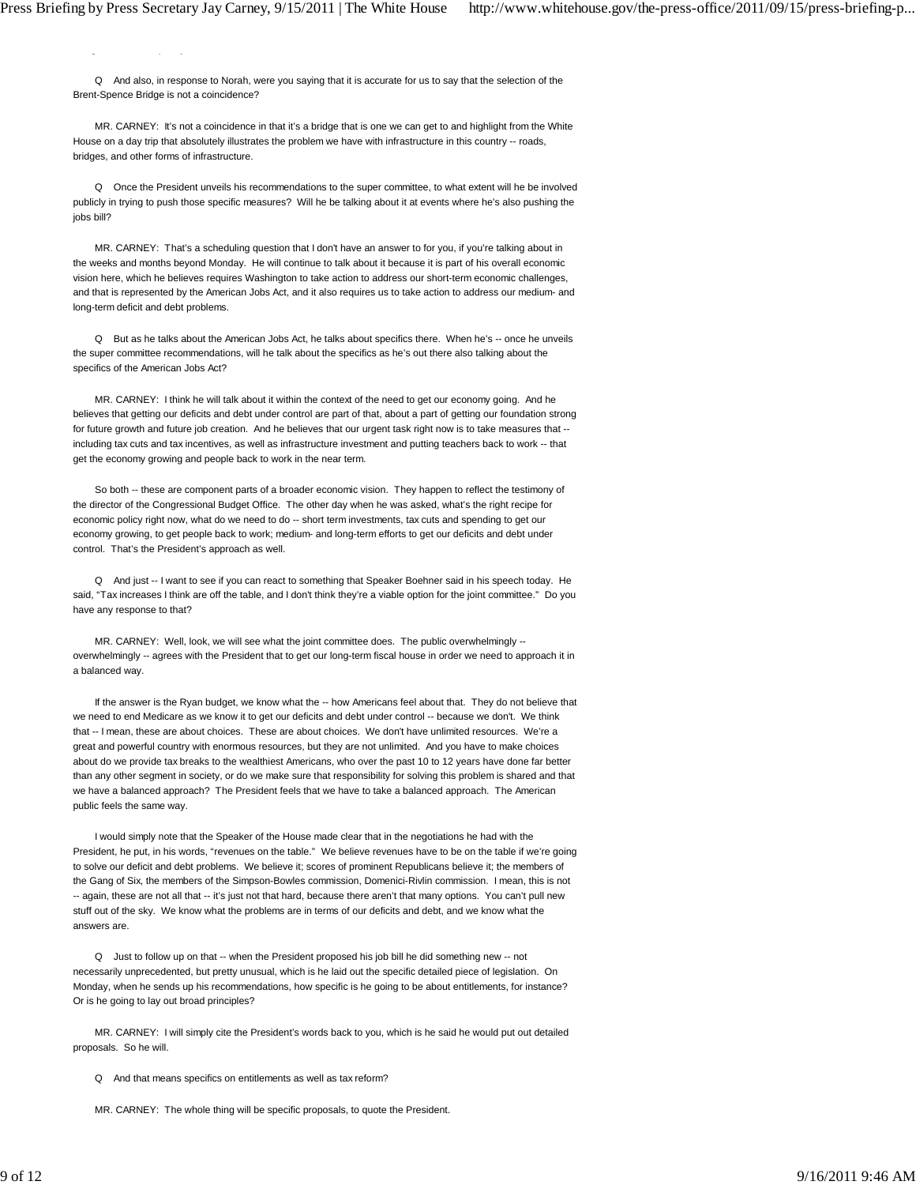g qy

 Q And also, in response to Norah, were you saying that it is accurate for us to say that the selection of the Brent-Spence Bridge is not a coincidence?

 MR. CARNEY: It's not a coincidence in that it's a bridge that is one we can get to and highlight from the White House on a day trip that absolutely illustrates the problem we have with infrastructure in this country -- roads, bridges, and other forms of infrastructure.

 Q Once the President unveils his recommendations to the super committee, to what extent will he be involved publicly in trying to push those specific measures? Will he be talking about it at events where he's also pushing the jobs bill?

 MR. CARNEY: That's a scheduling question that I don't have an answer to for you, if you're talking about in the weeks and months beyond Monday. He will continue to talk about it because it is part of his overall economic vision here, which he believes requires Washington to take action to address our short-term economic challenges, and that is represented by the American Jobs Act, and it also requires us to take action to address our medium- and long-term deficit and debt problems.

Q But as he talks about the American Jobs Act, he talks about specifics there. When he's -- once he unveils the super committee recommendations, will he talk about the specifics as he's out there also talking about the specifics of the American Jobs Act?

 MR. CARNEY: I think he will talk about it within the context of the need to get our economy going. And he believes that getting our deficits and debt under control are part of that, about a part of getting our foundation strong for future growth and future job creation. And he believes that our urgent task right now is to take measures that - including tax cuts and tax incentives, as well as infrastructure investment and putting teachers back to work -- that get the economy growing and people back to work in the near term.

 So both -- these are component parts of a broader economic vision. They happen to reflect the testimony of the director of the Congressional Budget Office. The other day when he was asked, what's the right recipe for economic policy right now, what do we need to do -- short term investments, tax cuts and spending to get our economy growing, to get people back to work; medium- and long-term efforts to get our deficits and debt under control. That's the President's approach as well.

 Q And just -- I want to see if you can react to something that Speaker Boehner said in his speech today. He said, "Tax increases I think are off the table, and I don't think they're a viable option for the joint committee." Do you have any response to that?

MR. CARNEY: Well, look, we will see what the joint committee does. The public overwhelmingly -overwhelmingly -- agrees with the President that to get our long-term fiscal house in order we need to approach it in a balanced way.

If the answer is the Ryan budget, we know what the -- how Americans feel about that. They do not believe that we need to end Medicare as we know it to get our deficits and debt under control -- because we don't. We think that -- I mean, these are about choices. These are about choices. We don't have unlimited resources. We're a great and powerful country with enormous resources, but they are not unlimited. And you have to make choices about do we provide tax breaks to the wealthiest Americans, who over the past 10 to 12 years have done far better than any other segment in society, or do we make sure that responsibility for solving this problem is shared and that we have a balanced approach? The President feels that we have to take a balanced approach. The American public feels the same way.

 I would simply note that the Speaker of the House made clear that in the negotiations he had with the President, he put, in his words, "revenues on the table." We believe revenues have to be on the table if we're going to solve our deficit and debt problems. We believe it; scores of prominent Republicans believe it; the members of the Gang of Six, the members of the Simpson-Bowles commission, Domenici-Rivlin commission. I mean, this is not -- again, these are not all that -- it's just not that hard, because there aren't that many options. You can't pull new stuff out of the sky. We know what the problems are in terms of our deficits and debt, and we know what the answers are.

 Q Just to follow up on that -- when the President proposed his job bill he did something new -- not necessarily unprecedented, but pretty unusual, which is he laid out the specific detailed piece of legislation. On Monday, when he sends up his recommendations, how specific is he going to be about entitlements, for instance? Or is he going to lay out broad principles?

 MR. CARNEY: I will simply cite the President's words back to you, which is he said he would put out detailed proposals. So he will.

Q And that means specifics on entitlements as well as tax reform?

MR. CARNEY: The whole thing will be specific proposals, to quote the President.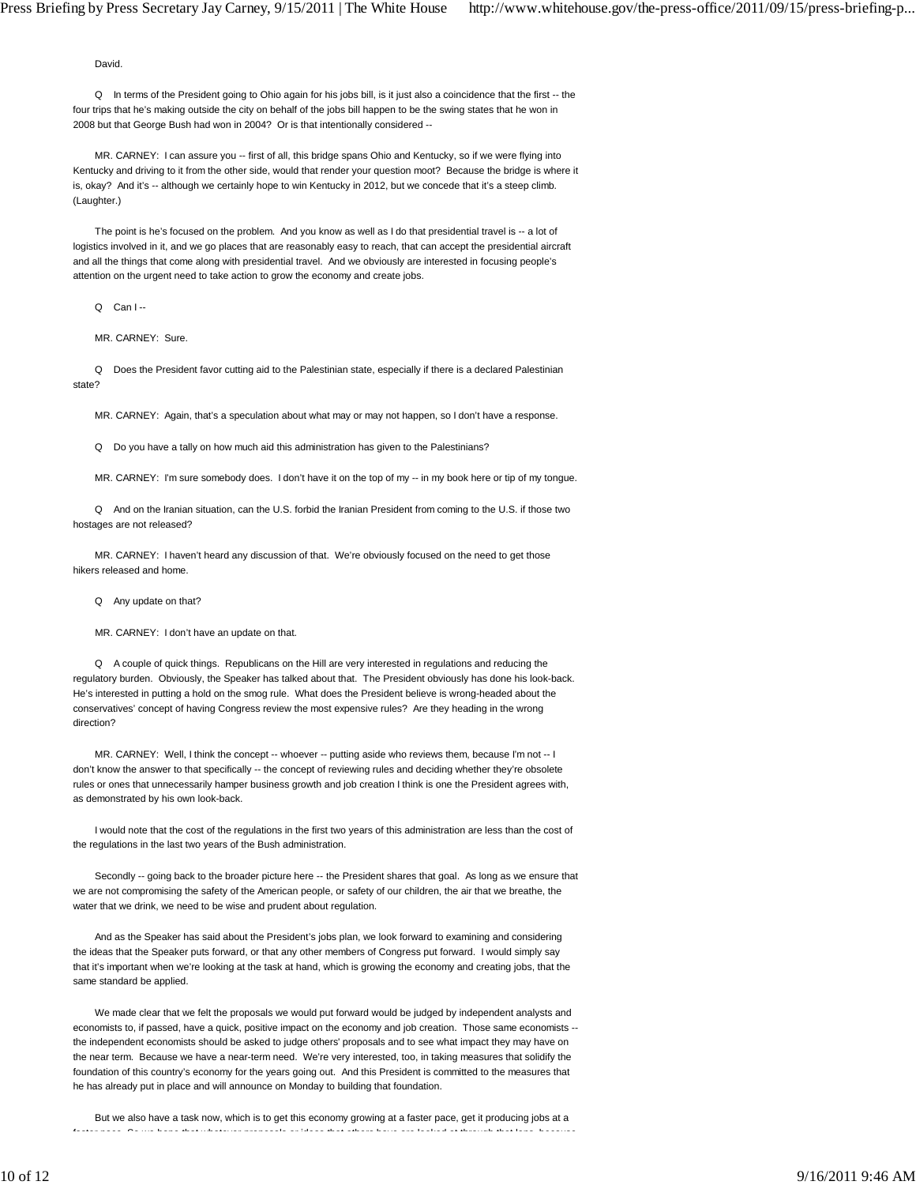David.

 Q In terms of the President going to Ohio again for his jobs bill, is it just also a coincidence that the first -- the four trips that he's making outside the city on behalf of the jobs bill happen to be the swing states that he won in 2008 but that George Bush had won in 2004? Or is that intentionally considered --

 MR. CARNEY: I can assure you -- first of all, this bridge spans Ohio and Kentucky, so if we were flying into Kentucky and driving to it from the other side, would that render your question moot? Because the bridge is where it is, okay? And it's -- although we certainly hope to win Kentucky in 2012, but we concede that it's a steep climb. (Laughter.)

The point is he's focused on the problem. And you know as well as I do that presidential travel is -- a lot of logistics involved in it, and we go places that are reasonably easy to reach, that can accept the presidential aircraft and all the things that come along with presidential travel. And we obviously are interested in focusing people's attention on the urgent need to take action to grow the economy and create jobs.

 $Q$  Can  $I -$ 

MR. CARNEY: Sure.

 Q Does the President favor cutting aid to the Palestinian state, especially if there is a declared Palestinian state?

MR. CARNEY: Again, that's a speculation about what may or may not happen, so I don't have a response.

Q Do you have a tally on how much aid this administration has given to the Palestinians?

MR. CARNEY: I'm sure somebody does. I don't have it on the top of my -- in my book here or tip of my tongue.

 Q And on the Iranian situation, can the U.S. forbid the Iranian President from coming to the U.S. if those two hostages are not released?

 MR. CARNEY: I haven't heard any discussion of that. We're obviously focused on the need to get those hikers released and home.

Q Any update on that?

MR. CARNEY: I don't have an update on that.

 Q A couple of quick things. Republicans on the Hill are very interested in regulations and reducing the regulatory burden. Obviously, the Speaker has talked about that. The President obviously has done his look-back. He's interested in putting a hold on the smog rule. What does the President believe is wrong-headed about the conservatives' concept of having Congress review the most expensive rules? Are they heading in the wrong direction?

MR. CARNEY: Well, I think the concept -- whoever -- putting aside who reviews them, because I'm not -- I don't know the answer to that specifically -- the concept of reviewing rules and deciding whether they're obsolete rules or ones that unnecessarily hamper business growth and job creation I think is one the President agrees with, as demonstrated by his own look-back.

 I would note that the cost of the regulations in the first two years of this administration are less than the cost of the regulations in the last two years of the Bush administration.

Secondly -- going back to the broader picture here -- the President shares that goal. As long as we ensure that we are not compromising the safety of the American people, or safety of our children, the air that we breathe, the water that we drink, we need to be wise and prudent about regulation.

 And as the Speaker has said about the President's jobs plan, we look forward to examining and considering the ideas that the Speaker puts forward, or that any other members of Congress put forward. I would simply say that it's important when we're looking at the task at hand, which is growing the economy and creating jobs, that the same standard be applied.

 We made clear that we felt the proposals we would put forward would be judged by independent analysts and economists to, if passed, have a quick, positive impact on the economy and job creation. Those same economists - the independent economists should be asked to judge others' proposals and to see what impact they may have on the near term. Because we have a near-term need. We're very interested, too, in taking measures that solidify the foundation of this country's economy for the years going out. And this President is committed to the measures that he has already put in place and will announce on Monday to building that foundation.

 But we also have a task now, which is to get this economy growing at a faster pace, get it producing jobs at a faster pace So we hope that whatever proposals or ideas that others have are looked at through that lens because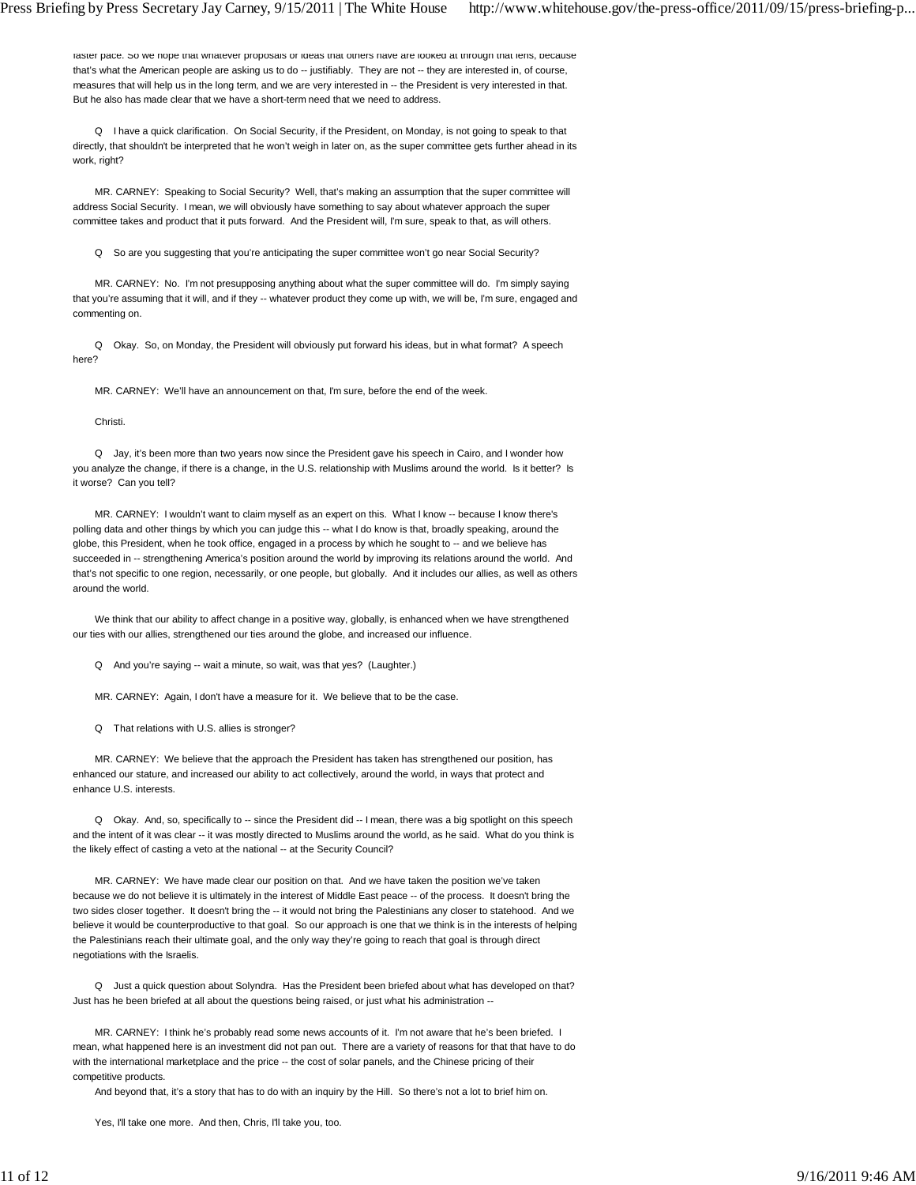raster pace. So we nope that whatever proposals or ideas that others have are looked at through that lens, because that's what the American people are asking us to do -- justifiably. They are not -- they are interested in, of course, measures that will help us in the long term, and we are very interested in -- the President is very interested in that. But he also has made clear that we have a short-term need that we need to address.

 Q I have a quick clarification. On Social Security, if the President, on Monday, is not going to speak to that directly, that shouldn't be interpreted that he won't weigh in later on, as the super committee gets further ahead in its work, right?

 MR. CARNEY: Speaking to Social Security? Well, that's making an assumption that the super committee will address Social Security. I mean, we will obviously have something to say about whatever approach the super committee takes and product that it puts forward. And the President will, I'm sure, speak to that, as will others.

Q So are you suggesting that you're anticipating the super committee won't go near Social Security?

 MR. CARNEY: No. I'm not presupposing anything about what the super committee will do. I'm simply saying that you're assuming that it will, and if they -- whatever product they come up with, we will be, I'm sure, engaged and commenting on.

 Q Okay. So, on Monday, the President will obviously put forward his ideas, but in what format? A speech here?

MR. CARNEY: We'll have an announcement on that, I'm sure, before the end of the week.

Christi.

 Q Jay, it's been more than two years now since the President gave his speech in Cairo, and I wonder how you analyze the change, if there is a change, in the U.S. relationship with Muslims around the world. Is it better? Is it worse? Can you tell?

MR. CARNEY: I wouldn't want to claim myself as an expert on this. What I know -- because I know there's polling data and other things by which you can judge this -- what I do know is that, broadly speaking, around the globe, this President, when he took office, engaged in a process by which he sought to -- and we believe has succeeded in -- strengthening America's position around the world by improving its relations around the world. And that's not specific to one region, necessarily, or one people, but globally. And it includes our allies, as well as others around the world.

 We think that our ability to affect change in a positive way, globally, is enhanced when we have strengthened our ties with our allies, strengthened our ties around the globe, and increased our influence.

Q And you're saying -- wait a minute, so wait, was that yes? (Laughter.)

MR. CARNEY: Again, I don't have a measure for it. We believe that to be the case.

Q That relations with U.S. allies is stronger?

 MR. CARNEY: We believe that the approach the President has taken has strengthened our position, has enhanced our stature, and increased our ability to act collectively, around the world, in ways that protect and enhance U.S. interests.

Q Okay. And, so, specifically to -- since the President did -- I mean, there was a big spotlight on this speech and the intent of it was clear -- it was mostly directed to Muslims around the world, as he said. What do you think is the likely effect of casting a veto at the national -- at the Security Council?

 MR. CARNEY: We have made clear our position on that. And we have taken the position we've taken because we do not believe it is ultimately in the interest of Middle East peace -- of the process. It doesn't bring the two sides closer together. It doesn't bring the -- it would not bring the Palestinians any closer to statehood. And we believe it would be counterproductive to that goal. So our approach is one that we think is in the interests of helping the Palestinians reach their ultimate goal, and the only way they're going to reach that goal is through direct negotiations with the Israelis.

 Q Just a quick question about Solyndra. Has the President been briefed about what has developed on that? Just has he been briefed at all about the questions being raised, or just what his administration --

 MR. CARNEY: I think he's probably read some news accounts of it. I'm not aware that he's been briefed. I mean, what happened here is an investment did not pan out. There are a variety of reasons for that that have to do with the international marketplace and the price -- the cost of solar panels, and the Chinese pricing of their competitive products.

And beyond that, it's a story that has to do with an inquiry by the Hill. So there's not a lot to brief him on.

Yes, I'll take one more. And then, Chris, I'll take you, too.